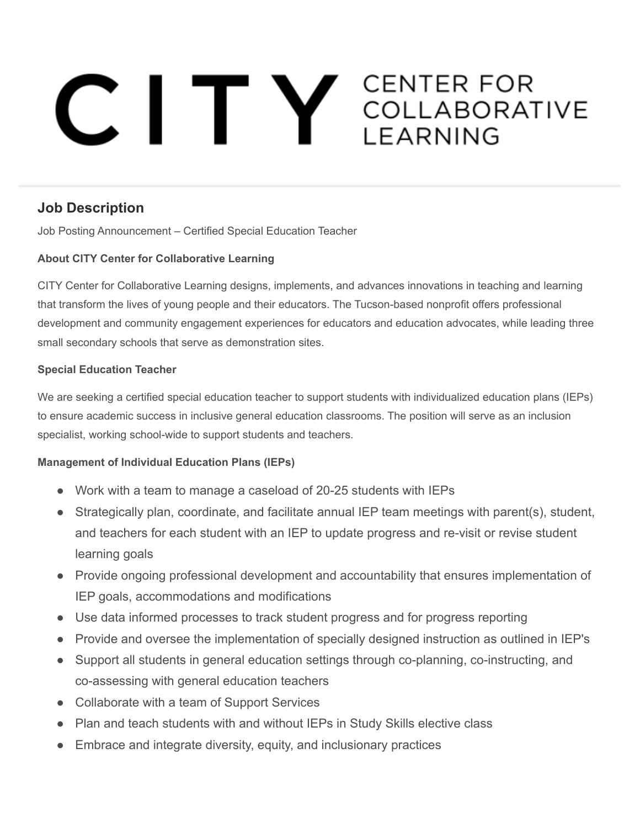# C I T Y CENTER FOR

# **Job Description**

Job Posting Announcement – Certified Special Education Teacher

## **About CITY Center for Collaborative Learning**

CITY Center for Collaborative Learning designs, implements, and advances innovations in teaching and learning that transform the lives of young people and their educators. The Tucson-based nonprofit offers professional development and community engagement experiences for educators and education advocates, while leading three small secondary schools that serve as demonstration sites.

#### **Special Education Teacher**

We are seeking a certified special education teacher to support students with individualized education plans (IEPs) to ensure academic success in inclusive general education classrooms. The position will serve as an inclusion specialist, working school-wide to support students and teachers.

## **Management of Individual Education Plans (IEPs)**

- Work with a team to manage a caseload of 20-25 students with IEPs
- Strategically plan, coordinate, and facilitate annual IEP team meetings with parent(s), student, and teachers for each student with an IEP to update progress and re-visit or revise student learning goals
- Provide ongoing professional development and accountability that ensures implementation of IEP goals, accommodations and modifications
- Use data informed processes to track student progress and for progress reporting
- Provide and oversee the implementation of specially designed instruction as outlined in IEP's
- Support all students in general education settings through co-planning, co-instructing, and co-assessing with general education teachers
- Collaborate with a team of Support Services
- **Plan and teach students with and without IEPs in Study Skills elective class**
- Embrace and integrate diversity, equity, and inclusionary practices